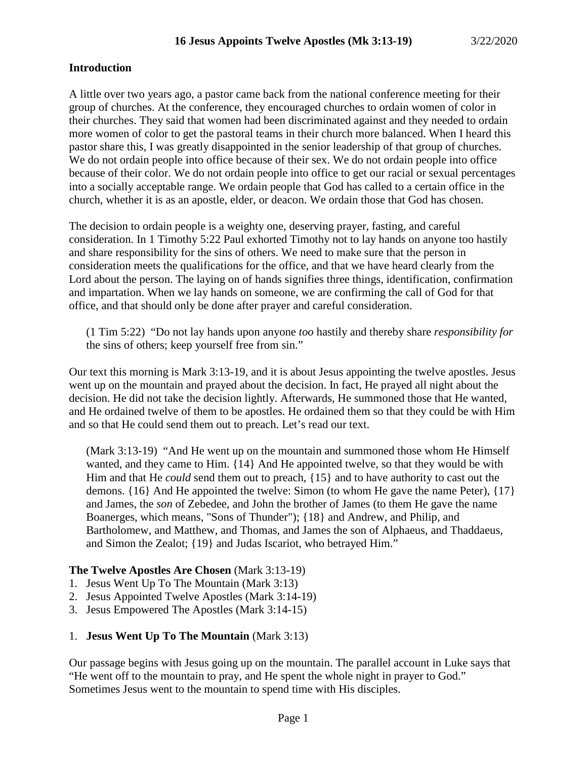## **Introduction**

A little over two years ago, a pastor came back from the national conference meeting for their group of churches. At the conference, they encouraged churches to ordain women of color in their churches. They said that women had been discriminated against and they needed to ordain more women of color to get the pastoral teams in their church more balanced. When I heard this pastor share this, I was greatly disappointed in the senior leadership of that group of churches. We do not ordain people into office because of their sex. We do not ordain people into office because of their color. We do not ordain people into office to get our racial or sexual percentages into a socially acceptable range. We ordain people that God has called to a certain office in the church, whether it is as an apostle, elder, or deacon. We ordain those that God has chosen.

The decision to ordain people is a weighty one, deserving prayer, fasting, and careful consideration. In 1 Timothy 5:22 Paul exhorted Timothy not to lay hands on anyone too hastily and share responsibility for the sins of others. We need to make sure that the person in consideration meets the qualifications for the office, and that we have heard clearly from the Lord about the person. The laying on of hands signifies three things, identification, confirmation and impartation. When we lay hands on someone, we are confirming the call of God for that office, and that should only be done after prayer and careful consideration.

(1 Tim 5:22) "Do not lay hands upon anyone *too* hastily and thereby share *responsibility for* the sins of others; keep yourself free from sin."

Our text this morning is Mark 3:13-19, and it is about Jesus appointing the twelve apostles. Jesus went up on the mountain and prayed about the decision. In fact, He prayed all night about the decision. He did not take the decision lightly. Afterwards, He summoned those that He wanted, and He ordained twelve of them to be apostles. He ordained them so that they could be with Him and so that He could send them out to preach. Let's read our text.

(Mark 3:13-19) "And He went up on the mountain and summoned those whom He Himself wanted, and they came to Him. {14} And He appointed twelve, so that they would be with Him and that He *could* send them out to preach, {15} and to have authority to cast out the demons. {16} And He appointed the twelve: Simon (to whom He gave the name Peter), {17} and James, the *son* of Zebedee, and John the brother of James (to them He gave the name Boanerges, which means, "Sons of Thunder"); {18} and Andrew, and Philip, and Bartholomew, and Matthew, and Thomas, and James the son of Alphaeus, and Thaddaeus, and Simon the Zealot; {19} and Judas Iscariot, who betrayed Him."

# **The Twelve Apostles Are Chosen** (Mark 3:13-19)

- 1. Jesus Went Up To The Mountain (Mark 3:13)
- 2. Jesus Appointed Twelve Apostles (Mark 3:14-19)
- 3. Jesus Empowered The Apostles (Mark 3:14-15)

### 1. **Jesus Went Up To The Mountain** (Mark 3:13)

Our passage begins with Jesus going up on the mountain. The parallel account in Luke says that "He went off to the mountain to pray, and He spent the whole night in prayer to God." Sometimes Jesus went to the mountain to spend time with His disciples.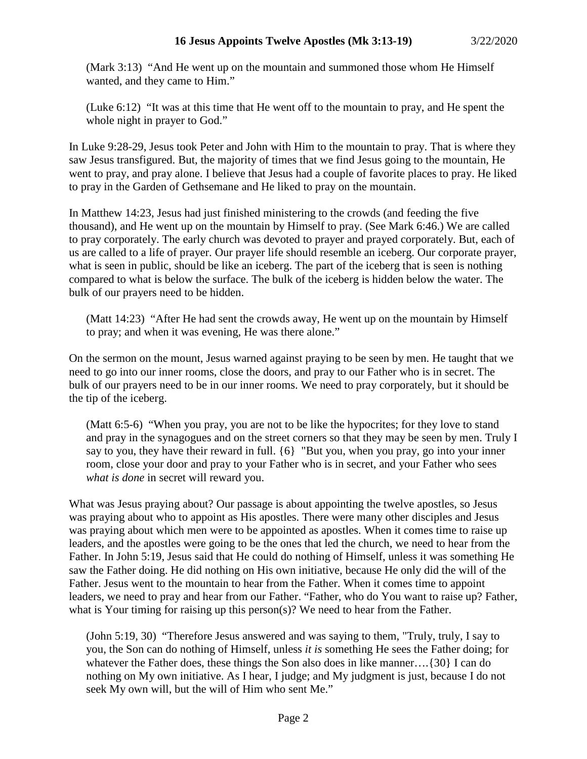(Mark 3:13) "And He went up on the mountain and summoned those whom He Himself wanted, and they came to Him."

(Luke 6:12) "It was at this time that He went off to the mountain to pray, and He spent the whole night in prayer to God."

In Luke 9:28-29, Jesus took Peter and John with Him to the mountain to pray. That is where they saw Jesus transfigured. But, the majority of times that we find Jesus going to the mountain, He went to pray, and pray alone. I believe that Jesus had a couple of favorite places to pray. He liked to pray in the Garden of Gethsemane and He liked to pray on the mountain.

In Matthew 14:23, Jesus had just finished ministering to the crowds (and feeding the five thousand), and He went up on the mountain by Himself to pray. (See Mark 6:46.) We are called to pray corporately. The early church was devoted to prayer and prayed corporately. But, each of us are called to a life of prayer. Our prayer life should resemble an iceberg. Our corporate prayer, what is seen in public, should be like an iceberg. The part of the iceberg that is seen is nothing compared to what is below the surface. The bulk of the iceberg is hidden below the water. The bulk of our prayers need to be hidden.

(Matt 14:23) "After He had sent the crowds away, He went up on the mountain by Himself to pray; and when it was evening, He was there alone."

On the sermon on the mount, Jesus warned against praying to be seen by men. He taught that we need to go into our inner rooms, close the doors, and pray to our Father who is in secret. The bulk of our prayers need to be in our inner rooms. We need to pray corporately, but it should be the tip of the iceberg.

(Matt 6:5-6) "When you pray, you are not to be like the hypocrites; for they love to stand and pray in the synagogues and on the street corners so that they may be seen by men. Truly I say to you, they have their reward in full. {6} "But you, when you pray, go into your inner room, close your door and pray to your Father who is in secret, and your Father who sees *what is done* in secret will reward you.

What was Jesus praying about? Our passage is about appointing the twelve apostles, so Jesus was praying about who to appoint as His apostles. There were many other disciples and Jesus was praying about which men were to be appointed as apostles. When it comes time to raise up leaders, and the apostles were going to be the ones that led the church, we need to hear from the Father. In John 5:19, Jesus said that He could do nothing of Himself, unless it was something He saw the Father doing. He did nothing on His own initiative, because He only did the will of the Father. Jesus went to the mountain to hear from the Father. When it comes time to appoint leaders, we need to pray and hear from our Father. "Father, who do You want to raise up? Father, what is Your timing for raising up this person(s)? We need to hear from the Father.

(John 5:19, 30) "Therefore Jesus answered and was saying to them, "Truly, truly, I say to you, the Son can do nothing of Himself, unless *it is* something He sees the Father doing; for whatever the Father does, these things the Son also does in like manner.... {30} I can do nothing on My own initiative. As I hear, I judge; and My judgment is just, because I do not seek My own will, but the will of Him who sent Me."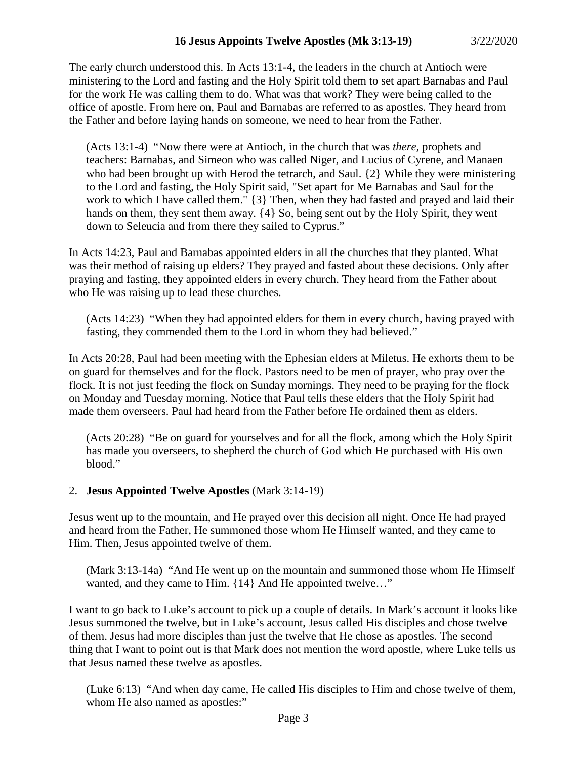The early church understood this. In Acts 13:1-4, the leaders in the church at Antioch were ministering to the Lord and fasting and the Holy Spirit told them to set apart Barnabas and Paul for the work He was calling them to do. What was that work? They were being called to the office of apostle. From here on, Paul and Barnabas are referred to as apostles. They heard from the Father and before laying hands on someone, we need to hear from the Father.

(Acts 13:1-4) "Now there were at Antioch, in the church that was *there,* prophets and teachers: Barnabas, and Simeon who was called Niger, and Lucius of Cyrene, and Manaen who had been brought up with Herod the tetrarch, and Saul. {2} While they were ministering to the Lord and fasting, the Holy Spirit said, "Set apart for Me Barnabas and Saul for the work to which I have called them." {3} Then, when they had fasted and prayed and laid their hands on them, they sent them away. {4} So, being sent out by the Holy Spirit, they went down to Seleucia and from there they sailed to Cyprus."

In Acts 14:23, Paul and Barnabas appointed elders in all the churches that they planted. What was their method of raising up elders? They prayed and fasted about these decisions. Only after praying and fasting, they appointed elders in every church. They heard from the Father about who He was raising up to lead these churches.

(Acts 14:23) "When they had appointed elders for them in every church, having prayed with fasting, they commended them to the Lord in whom they had believed."

In Acts 20:28, Paul had been meeting with the Ephesian elders at Miletus. He exhorts them to be on guard for themselves and for the flock. Pastors need to be men of prayer, who pray over the flock. It is not just feeding the flock on Sunday mornings. They need to be praying for the flock on Monday and Tuesday morning. Notice that Paul tells these elders that the Holy Spirit had made them overseers. Paul had heard from the Father before He ordained them as elders.

(Acts 20:28) "Be on guard for yourselves and for all the flock, among which the Holy Spirit has made you overseers, to shepherd the church of God which He purchased with His own blood."

# 2. **Jesus Appointed Twelve Apostles** (Mark 3:14-19)

Jesus went up to the mountain, and He prayed over this decision all night. Once He had prayed and heard from the Father, He summoned those whom He Himself wanted, and they came to Him. Then, Jesus appointed twelve of them.

(Mark 3:13-14a) "And He went up on the mountain and summoned those whom He Himself wanted, and they came to Him. {14} And He appointed twelve…"

I want to go back to Luke's account to pick up a couple of details. In Mark's account it looks like Jesus summoned the twelve, but in Luke's account, Jesus called His disciples and chose twelve of them. Jesus had more disciples than just the twelve that He chose as apostles. The second thing that I want to point out is that Mark does not mention the word apostle, where Luke tells us that Jesus named these twelve as apostles.

(Luke 6:13) "And when day came, He called His disciples to Him and chose twelve of them, whom He also named as apostles:"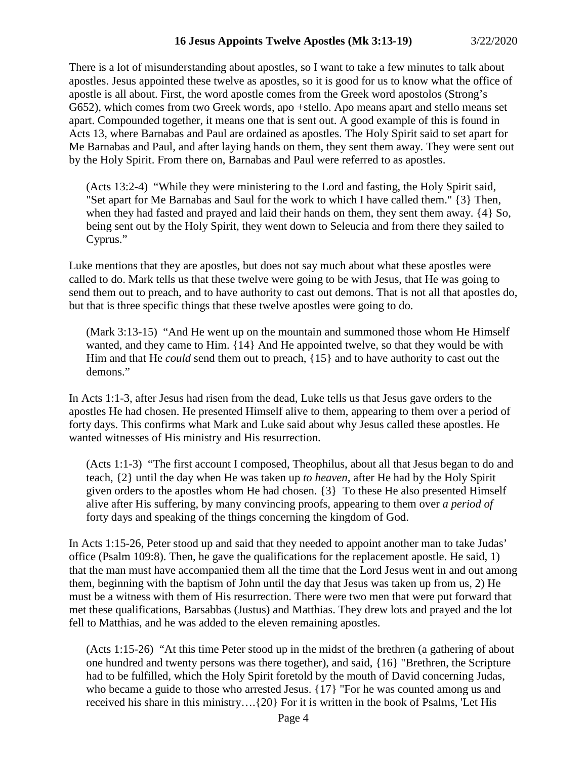There is a lot of misunderstanding about apostles, so I want to take a few minutes to talk about apostles. Jesus appointed these twelve as apostles, so it is good for us to know what the office of apostle is all about. First, the word apostle comes from the Greek word apostolos (Strong's G652), which comes from two Greek words, apo +stello. Apo means apart and stello means set apart. Compounded together, it means one that is sent out. A good example of this is found in Acts 13, where Barnabas and Paul are ordained as apostles. The Holy Spirit said to set apart for Me Barnabas and Paul, and after laying hands on them, they sent them away. They were sent out by the Holy Spirit. From there on, Barnabas and Paul were referred to as apostles.

(Acts 13:2-4) "While they were ministering to the Lord and fasting, the Holy Spirit said, "Set apart for Me Barnabas and Saul for the work to which I have called them." {3} Then, when they had fasted and prayed and laid their hands on them, they sent them away. {4} So, being sent out by the Holy Spirit, they went down to Seleucia and from there they sailed to Cyprus."

Luke mentions that they are apostles, but does not say much about what these apostles were called to do. Mark tells us that these twelve were going to be with Jesus, that He was going to send them out to preach, and to have authority to cast out demons. That is not all that apostles do, but that is three specific things that these twelve apostles were going to do.

(Mark 3:13-15) "And He went up on the mountain and summoned those whom He Himself wanted, and they came to Him. {14} And He appointed twelve, so that they would be with Him and that He *could* send them out to preach, {15} and to have authority to cast out the demons."

In Acts 1:1-3, after Jesus had risen from the dead, Luke tells us that Jesus gave orders to the apostles He had chosen. He presented Himself alive to them, appearing to them over a period of forty days. This confirms what Mark and Luke said about why Jesus called these apostles. He wanted witnesses of His ministry and His resurrection.

(Acts 1:1-3) "The first account I composed, Theophilus, about all that Jesus began to do and teach, {2} until the day when He was taken up *to heaven,* after He had by the Holy Spirit given orders to the apostles whom He had chosen. {3} To these He also presented Himself alive after His suffering, by many convincing proofs, appearing to them over *a period of* forty days and speaking of the things concerning the kingdom of God.

In Acts 1:15-26, Peter stood up and said that they needed to appoint another man to take Judas' office (Psalm 109:8). Then, he gave the qualifications for the replacement apostle. He said, 1) that the man must have accompanied them all the time that the Lord Jesus went in and out among them, beginning with the baptism of John until the day that Jesus was taken up from us, 2) He must be a witness with them of His resurrection. There were two men that were put forward that met these qualifications, Barsabbas (Justus) and Matthias. They drew lots and prayed and the lot fell to Matthias, and he was added to the eleven remaining apostles.

(Acts 1:15-26) "At this time Peter stood up in the midst of the brethren (a gathering of about one hundred and twenty persons was there together), and said, {16} "Brethren, the Scripture had to be fulfilled, which the Holy Spirit foretold by the mouth of David concerning Judas, who became a guide to those who arrested Jesus.  $\{17\}$  "For he was counted among us and received his share in this ministry….{20} For it is written in the book of Psalms, 'Let His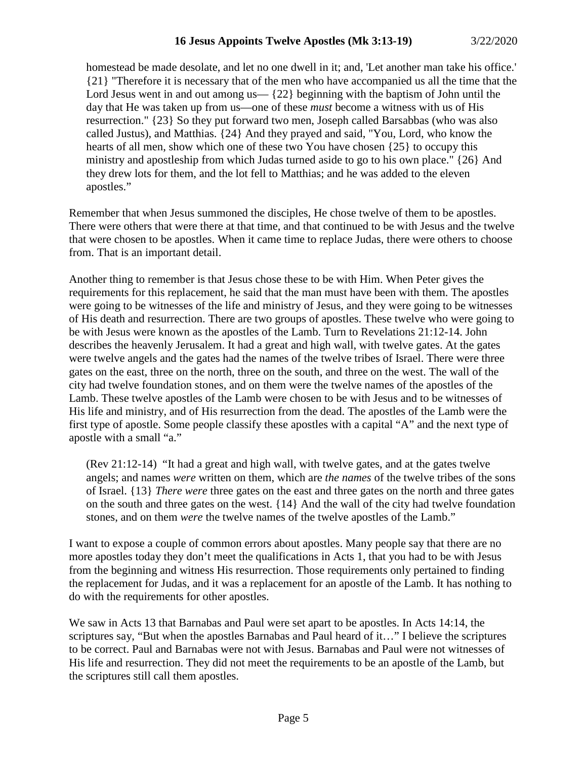homestead be made desolate, and let no one dwell in it; and, 'Let another man take his office.' {21} "Therefore it is necessary that of the men who have accompanied us all the time that the Lord Jesus went in and out among us— $\{22\}$  beginning with the baptism of John until the day that He was taken up from us—one of these *must* become a witness with us of His resurrection." {23} So they put forward two men, Joseph called Barsabbas (who was also called Justus), and Matthias. {24} And they prayed and said, "You, Lord, who know the hearts of all men, show which one of these two You have chosen {25} to occupy this ministry and apostleship from which Judas turned aside to go to his own place." {26} And they drew lots for them, and the lot fell to Matthias; and he was added to the eleven apostles."

Remember that when Jesus summoned the disciples, He chose twelve of them to be apostles. There were others that were there at that time, and that continued to be with Jesus and the twelve that were chosen to be apostles. When it came time to replace Judas, there were others to choose from. That is an important detail.

Another thing to remember is that Jesus chose these to be with Him. When Peter gives the requirements for this replacement, he said that the man must have been with them. The apostles were going to be witnesses of the life and ministry of Jesus, and they were going to be witnesses of His death and resurrection. There are two groups of apostles. These twelve who were going to be with Jesus were known as the apostles of the Lamb. Turn to Revelations 21:12-14. John describes the heavenly Jerusalem. It had a great and high wall, with twelve gates. At the gates were twelve angels and the gates had the names of the twelve tribes of Israel. There were three gates on the east, three on the north, three on the south, and three on the west. The wall of the city had twelve foundation stones, and on them were the twelve names of the apostles of the Lamb. These twelve apostles of the Lamb were chosen to be with Jesus and to be witnesses of His life and ministry, and of His resurrection from the dead. The apostles of the Lamb were the first type of apostle. Some people classify these apostles with a capital "A" and the next type of apostle with a small "a."

(Rev 21:12-14) "It had a great and high wall, with twelve gates, and at the gates twelve angels; and names *were* written on them, which are *the names* of the twelve tribes of the sons of Israel. {13} *There were* three gates on the east and three gates on the north and three gates on the south and three gates on the west. {14} And the wall of the city had twelve foundation stones, and on them *were* the twelve names of the twelve apostles of the Lamb."

I want to expose a couple of common errors about apostles. Many people say that there are no more apostles today they don't meet the qualifications in Acts 1, that you had to be with Jesus from the beginning and witness His resurrection. Those requirements only pertained to finding the replacement for Judas, and it was a replacement for an apostle of the Lamb. It has nothing to do with the requirements for other apostles.

We saw in Acts 13 that Barnabas and Paul were set apart to be apostles. In Acts 14:14, the scriptures say, "But when the apostles Barnabas and Paul heard of it…" I believe the scriptures to be correct. Paul and Barnabas were not with Jesus. Barnabas and Paul were not witnesses of His life and resurrection. They did not meet the requirements to be an apostle of the Lamb, but the scriptures still call them apostles.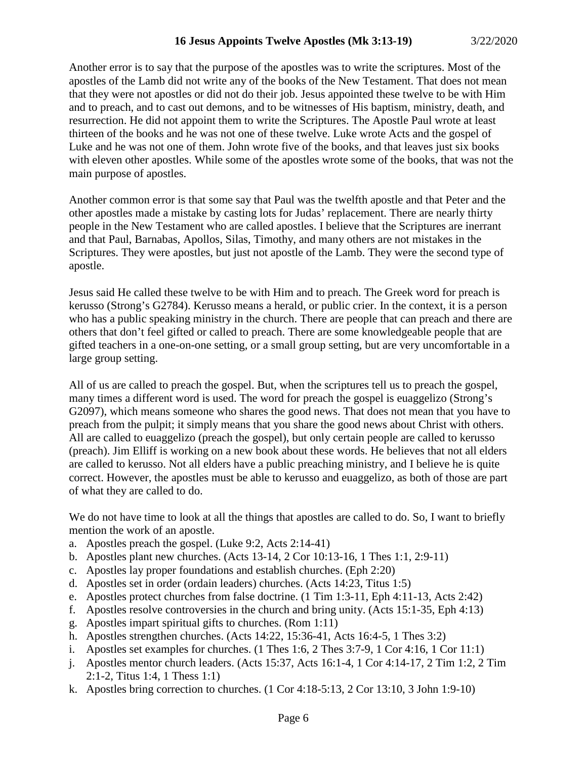Another error is to say that the purpose of the apostles was to write the scriptures. Most of the apostles of the Lamb did not write any of the books of the New Testament. That does not mean that they were not apostles or did not do their job. Jesus appointed these twelve to be with Him and to preach, and to cast out demons, and to be witnesses of His baptism, ministry, death, and resurrection. He did not appoint them to write the Scriptures. The Apostle Paul wrote at least thirteen of the books and he was not one of these twelve. Luke wrote Acts and the gospel of Luke and he was not one of them. John wrote five of the books, and that leaves just six books with eleven other apostles. While some of the apostles wrote some of the books, that was not the main purpose of apostles.

Another common error is that some say that Paul was the twelfth apostle and that Peter and the other apostles made a mistake by casting lots for Judas' replacement. There are nearly thirty people in the New Testament who are called apostles. I believe that the Scriptures are inerrant and that Paul, Barnabas, Apollos, Silas, Timothy, and many others are not mistakes in the Scriptures. They were apostles, but just not apostle of the Lamb. They were the second type of apostle.

Jesus said He called these twelve to be with Him and to preach. The Greek word for preach is kerusso (Strong's G2784). Kerusso means a herald, or public crier. In the context, it is a person who has a public speaking ministry in the church. There are people that can preach and there are others that don't feel gifted or called to preach. There are some knowledgeable people that are gifted teachers in a one-on-one setting, or a small group setting, but are very uncomfortable in a large group setting.

All of us are called to preach the gospel. But, when the scriptures tell us to preach the gospel, many times a different word is used. The word for preach the gospel is euaggelizo (Strong's G2097), which means someone who shares the good news. That does not mean that you have to preach from the pulpit; it simply means that you share the good news about Christ with others. All are called to euaggelizo (preach the gospel), but only certain people are called to kerusso (preach). Jim Elliff is working on a new book about these words. He believes that not all elders are called to kerusso. Not all elders have a public preaching ministry, and I believe he is quite correct. However, the apostles must be able to kerusso and euaggelizo, as both of those are part of what they are called to do.

We do not have time to look at all the things that apostles are called to do. So, I want to briefly mention the work of an apostle.

- a. Apostles preach the gospel. (Luke 9:2, Acts 2:14-41)
- b. Apostles plant new churches. (Acts 13-14, 2 Cor 10:13-16, 1 Thes 1:1, 2:9-11)
- c. Apostles lay proper foundations and establish churches. (Eph 2:20)
- d. Apostles set in order (ordain leaders) churches. (Acts 14:23, Titus 1:5)
- e. Apostles protect churches from false doctrine. (1 Tim 1:3-11, Eph 4:11-13, Acts 2:42)
- f. Apostles resolve controversies in the church and bring unity. (Acts 15:1-35, Eph 4:13)
- g. Apostles impart spiritual gifts to churches. (Rom 1:11)
- h. Apostles strengthen churches. (Acts 14:22, 15:36-41, Acts 16:4-5, 1 Thes 3:2)
- i. Apostles set examples for churches. (1 Thes 1:6, 2 Thes 3:7-9, 1 Cor 4:16, 1 Cor 11:1)
- j. Apostles mentor church leaders. (Acts 15:37, Acts 16:1-4, 1 Cor 4:14-17, 2 Tim 1:2, 2 Tim 2:1-2, Titus 1:4, 1 Thess 1:1)
- k. Apostles bring correction to churches. (1 Cor 4:18-5:13, 2 Cor 13:10, 3 John 1:9-10)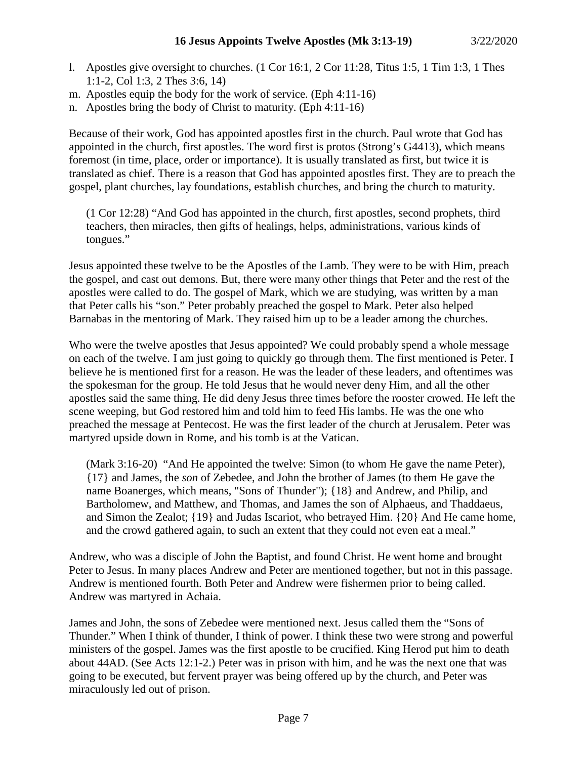- l. Apostles give oversight to churches. (1 Cor 16:1, 2 Cor 11:28, Titus 1:5, 1 Tim 1:3, 1 Thes 1:1-2, Col 1:3, 2 Thes 3:6, 14)
- m. Apostles equip the body for the work of service. (Eph 4:11-16)
- n. Apostles bring the body of Christ to maturity. (Eph 4:11-16)

Because of their work, God has appointed apostles first in the church. Paul wrote that God has appointed in the church, first apostles. The word first is protos (Strong's G4413), which means foremost (in time, place, order or importance). It is usually translated as first, but twice it is translated as chief. There is a reason that God has appointed apostles first. They are to preach the gospel, plant churches, lay foundations, establish churches, and bring the church to maturity.

(1 Cor 12:28) "And God has appointed in the church, first apostles, second prophets, third teachers, then miracles, then gifts of healings, helps, administrations, various kinds of tongues."

Jesus appointed these twelve to be the Apostles of the Lamb. They were to be with Him, preach the gospel, and cast out demons. But, there were many other things that Peter and the rest of the apostles were called to do. The gospel of Mark, which we are studying, was written by a man that Peter calls his "son." Peter probably preached the gospel to Mark. Peter also helped Barnabas in the mentoring of Mark. They raised him up to be a leader among the churches.

Who were the twelve apostles that Jesus appointed? We could probably spend a whole message on each of the twelve. I am just going to quickly go through them. The first mentioned is Peter. I believe he is mentioned first for a reason. He was the leader of these leaders, and oftentimes was the spokesman for the group. He told Jesus that he would never deny Him, and all the other apostles said the same thing. He did deny Jesus three times before the rooster crowed. He left the scene weeping, but God restored him and told him to feed His lambs. He was the one who preached the message at Pentecost. He was the first leader of the church at Jerusalem. Peter was martyred upside down in Rome, and his tomb is at the Vatican.

(Mark 3:16-20) "And He appointed the twelve: Simon (to whom He gave the name Peter), {17} and James, the *son* of Zebedee, and John the brother of James (to them He gave the name Boanerges, which means, "Sons of Thunder"); {18} and Andrew, and Philip, and Bartholomew, and Matthew, and Thomas, and James the son of Alphaeus, and Thaddaeus, and Simon the Zealot; {19} and Judas Iscariot, who betrayed Him. {20} And He came home, and the crowd gathered again, to such an extent that they could not even eat a meal."

Andrew, who was a disciple of John the Baptist, and found Christ. He went home and brought Peter to Jesus. In many places Andrew and Peter are mentioned together, but not in this passage. Andrew is mentioned fourth. Both Peter and Andrew were fishermen prior to being called. Andrew was martyred in Achaia.

James and John, the sons of Zebedee were mentioned next. Jesus called them the "Sons of Thunder." When I think of thunder, I think of power. I think these two were strong and powerful ministers of the gospel. James was the first apostle to be crucified. King Herod put him to death about 44AD. (See Acts 12:1-2.) Peter was in prison with him, and he was the next one that was going to be executed, but fervent prayer was being offered up by the church, and Peter was miraculously led out of prison.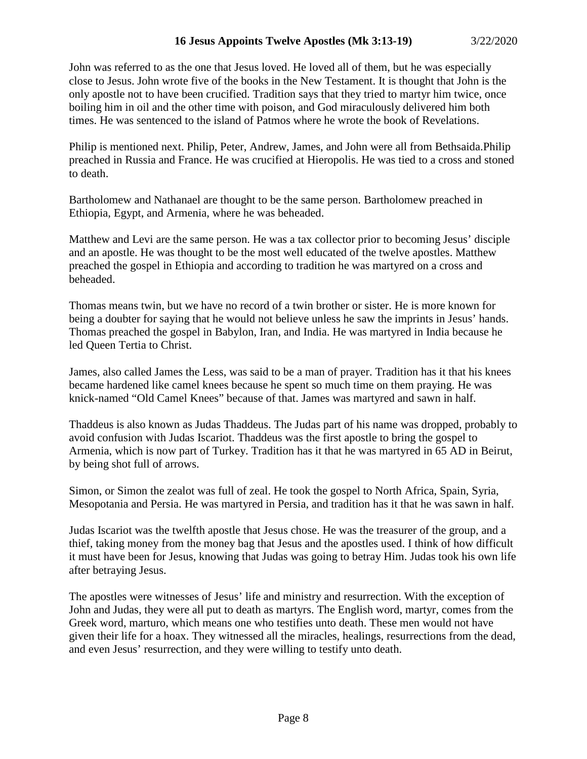John was referred to as the one that Jesus loved. He loved all of them, but he was especially close to Jesus. John wrote five of the books in the New Testament. It is thought that John is the only apostle not to have been crucified. Tradition says that they tried to martyr him twice, once boiling him in oil and the other time with poison, and God miraculously delivered him both times. He was sentenced to the island of Patmos where he wrote the book of Revelations.

Philip is mentioned next. Philip, Peter, Andrew, James, and John were all from Bethsaida.Philip preached in Russia and France. He was crucified at Hieropolis. He was tied to a cross and stoned to death.

Bartholomew and Nathanael are thought to be the same person. Bartholomew preached in Ethiopia, Egypt, and Armenia, where he was beheaded.

Matthew and Levi are the same person. He was a tax collector prior to becoming Jesus' disciple and an apostle. He was thought to be the most well educated of the twelve apostles. Matthew preached the gospel in Ethiopia and according to tradition he was martyred on a cross and beheaded.

Thomas means twin, but we have no record of a twin brother or sister. He is more known for being a doubter for saying that he would not believe unless he saw the imprints in Jesus' hands. Thomas preached the gospel in Babylon, Iran, and India. He was martyred in India because he led Queen Tertia to Christ.

James, also called James the Less, was said to be a man of prayer. Tradition has it that his knees became hardened like camel knees because he spent so much time on them praying. He was knick-named "Old Camel Knees" because of that. James was martyred and sawn in half.

Thaddeus is also known as Judas Thaddeus. The Judas part of his name was dropped, probably to avoid confusion with Judas Iscariot. Thaddeus was the first apostle to bring the gospel to Armenia, which is now part of Turkey. Tradition has it that he was martyred in 65 AD in Beirut, by being shot full of arrows.

Simon, or Simon the zealot was full of zeal. He took the gospel to North Africa, Spain, Syria, Mesopotania and Persia. He was martyred in Persia, and tradition has it that he was sawn in half.

Judas Iscariot was the twelfth apostle that Jesus chose. He was the treasurer of the group, and a thief, taking money from the money bag that Jesus and the apostles used. I think of how difficult it must have been for Jesus, knowing that Judas was going to betray Him. Judas took his own life after betraying Jesus.

The apostles were witnesses of Jesus' life and ministry and resurrection. With the exception of John and Judas, they were all put to death as martyrs. The English word, martyr, comes from the Greek word, marturo, which means one who testifies unto death. These men would not have given their life for a hoax. They witnessed all the miracles, healings, resurrections from the dead, and even Jesus' resurrection, and they were willing to testify unto death.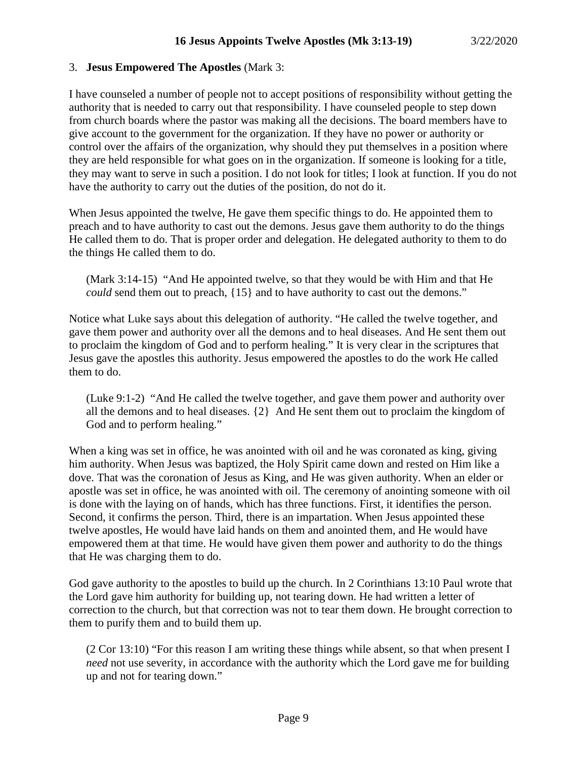### 3. **Jesus Empowered The Apostles** (Mark 3:

I have counseled a number of people not to accept positions of responsibility without getting the authority that is needed to carry out that responsibility. I have counseled people to step down from church boards where the pastor was making all the decisions. The board members have to give account to the government for the organization. If they have no power or authority or control over the affairs of the organization, why should they put themselves in a position where they are held responsible for what goes on in the organization. If someone is looking for a title, they may want to serve in such a position. I do not look for titles; I look at function. If you do not have the authority to carry out the duties of the position, do not do it.

When Jesus appointed the twelve, He gave them specific things to do. He appointed them to preach and to have authority to cast out the demons. Jesus gave them authority to do the things He called them to do. That is proper order and delegation. He delegated authority to them to do the things He called them to do.

(Mark 3:14-15) "And He appointed twelve, so that they would be with Him and that He *could* send them out to preach, {15} and to have authority to cast out the demons."

Notice what Luke says about this delegation of authority. "He called the twelve together, and gave them power and authority over all the demons and to heal diseases. And He sent them out to proclaim the kingdom of God and to perform healing." It is very clear in the scriptures that Jesus gave the apostles this authority. Jesus empowered the apostles to do the work He called them to do.

(Luke 9:1-2) "And He called the twelve together, and gave them power and authority over all the demons and to heal diseases. {2} And He sent them out to proclaim the kingdom of God and to perform healing."

When a king was set in office, he was anointed with oil and he was coronated as king, giving him authority. When Jesus was baptized, the Holy Spirit came down and rested on Him like a dove. That was the coronation of Jesus as King, and He was given authority. When an elder or apostle was set in office, he was anointed with oil. The ceremony of anointing someone with oil is done with the laying on of hands, which has three functions. First, it identifies the person. Second, it confirms the person. Third, there is an impartation. When Jesus appointed these twelve apostles, He would have laid hands on them and anointed them, and He would have empowered them at that time. He would have given them power and authority to do the things that He was charging them to do.

God gave authority to the apostles to build up the church. In 2 Corinthians 13:10 Paul wrote that the Lord gave him authority for building up, not tearing down. He had written a letter of correction to the church, but that correction was not to tear them down. He brought correction to them to purify them and to build them up.

(2 Cor 13:10) "For this reason I am writing these things while absent, so that when present I *need* not use severity, in accordance with the authority which the Lord gave me for building up and not for tearing down."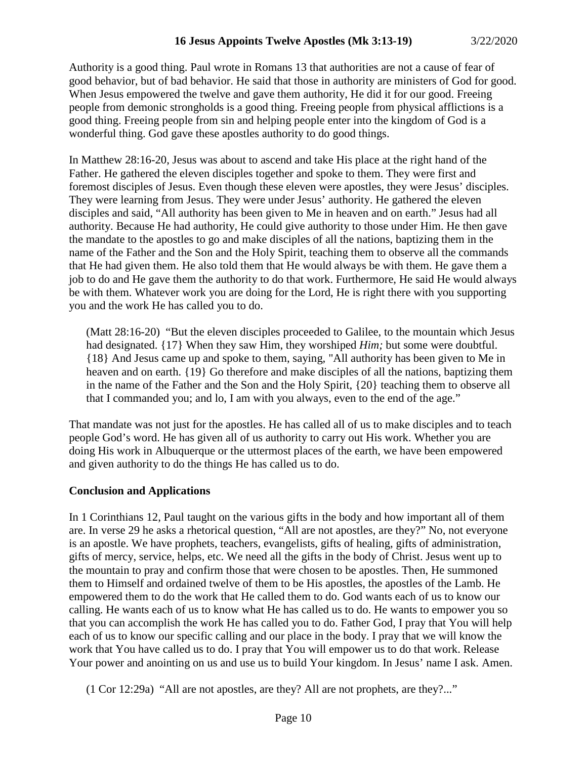Authority is a good thing. Paul wrote in Romans 13 that authorities are not a cause of fear of good behavior, but of bad behavior. He said that those in authority are ministers of God for good. When Jesus empowered the twelve and gave them authority, He did it for our good. Freeing people from demonic strongholds is a good thing. Freeing people from physical afflictions is a good thing. Freeing people from sin and helping people enter into the kingdom of God is a wonderful thing. God gave these apostles authority to do good things.

In Matthew 28:16-20, Jesus was about to ascend and take His place at the right hand of the Father. He gathered the eleven disciples together and spoke to them. They were first and foremost disciples of Jesus. Even though these eleven were apostles, they were Jesus' disciples. They were learning from Jesus. They were under Jesus' authority. He gathered the eleven disciples and said, "All authority has been given to Me in heaven and on earth." Jesus had all authority. Because He had authority, He could give authority to those under Him. He then gave the mandate to the apostles to go and make disciples of all the nations, baptizing them in the name of the Father and the Son and the Holy Spirit, teaching them to observe all the commands that He had given them. He also told them that He would always be with them. He gave them a job to do and He gave them the authority to do that work. Furthermore, He said He would always be with them. Whatever work you are doing for the Lord, He is right there with you supporting you and the work He has called you to do.

(Matt 28:16-20) "But the eleven disciples proceeded to Galilee, to the mountain which Jesus had designated. {17} When they saw Him, they worshiped *Him;* but some were doubtful. {18} And Jesus came up and spoke to them, saying, "All authority has been given to Me in heaven and on earth. {19} Go therefore and make disciples of all the nations, baptizing them in the name of the Father and the Son and the Holy Spirit, {20} teaching them to observe all that I commanded you; and lo, I am with you always, even to the end of the age."

That mandate was not just for the apostles. He has called all of us to make disciples and to teach people God's word. He has given all of us authority to carry out His work. Whether you are doing His work in Albuquerque or the uttermost places of the earth, we have been empowered and given authority to do the things He has called us to do.

### **Conclusion and Applications**

In 1 Corinthians 12, Paul taught on the various gifts in the body and how important all of them are. In verse 29 he asks a rhetorical question, "All are not apostles, are they?" No, not everyone is an apostle. We have prophets, teachers, evangelists, gifts of healing, gifts of administration, gifts of mercy, service, helps, etc. We need all the gifts in the body of Christ. Jesus went up to the mountain to pray and confirm those that were chosen to be apostles. Then, He summoned them to Himself and ordained twelve of them to be His apostles, the apostles of the Lamb. He empowered them to do the work that He called them to do. God wants each of us to know our calling. He wants each of us to know what He has called us to do. He wants to empower you so that you can accomplish the work He has called you to do. Father God, I pray that You will help each of us to know our specific calling and our place in the body. I pray that we will know the work that You have called us to do. I pray that You will empower us to do that work. Release Your power and anointing on us and use us to build Your kingdom. In Jesus' name I ask. Amen.

(1 Cor 12:29a) "All are not apostles, are they? All are not prophets, are they?..."